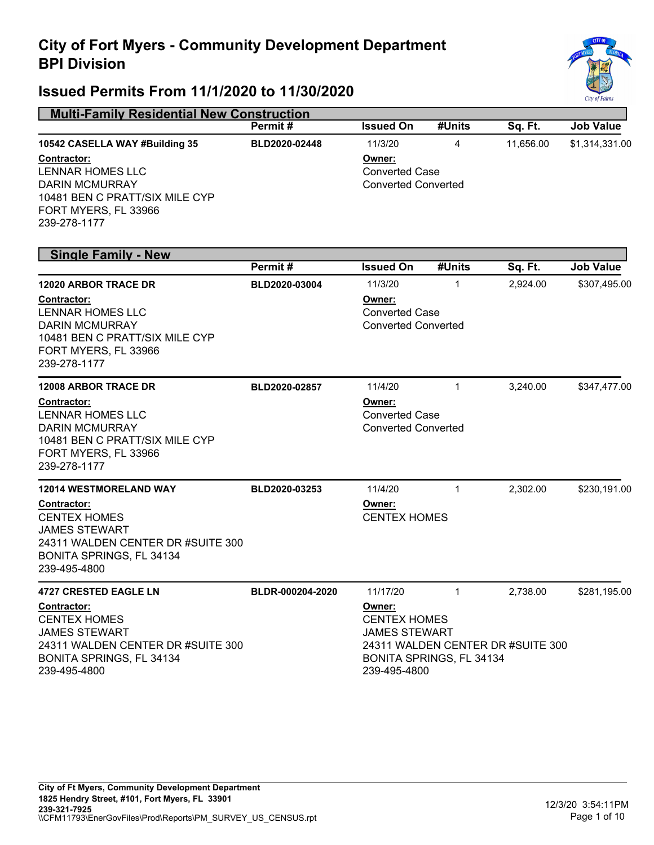

| <b>Multi-Family Residential New Construction</b>                                                                                                                             |                  |                                                                                                                                        |                |           |                  |  |
|------------------------------------------------------------------------------------------------------------------------------------------------------------------------------|------------------|----------------------------------------------------------------------------------------------------------------------------------------|----------------|-----------|------------------|--|
|                                                                                                                                                                              | Permit#          | <b>Issued On</b>                                                                                                                       | #Units         | Sq. Ft.   | <b>Job Value</b> |  |
| 10542 CASELLA WAY #Building 35<br>Contractor:<br><b>LENNAR HOMES LLC</b><br><b>DARIN MCMURRAY</b><br>10481 BEN C PRATT/SIX MILE CYP<br>FORT MYERS, FL 33966<br>239-278-1177  | BLD2020-02448    | 11/3/20<br>Owner:<br><b>Converted Case</b><br><b>Converted Converted</b>                                                               | $\overline{4}$ | 11,656.00 | \$1,314,331.00   |  |
| <b>Single Family - New</b>                                                                                                                                                   |                  |                                                                                                                                        |                |           |                  |  |
|                                                                                                                                                                              | Permit#          | <b>Issued On</b>                                                                                                                       | #Units         | Sq. Ft.   | <b>Job Value</b> |  |
| <b>12020 ARBOR TRACE DR</b><br>Contractor:<br><b>LENNAR HOMES LLC</b><br><b>DARIN MCMURRAY</b><br>10481 BEN C PRATT/SIX MILE CYP<br>FORT MYERS, FL 33966<br>239-278-1177     | BLD2020-03004    | 11/3/20<br>Owner:<br><b>Converted Case</b><br><b>Converted Converted</b>                                                               | 1              | 2,924.00  | \$307,495.00     |  |
| <b>12008 ARBOR TRACE DR</b><br>Contractor:<br><b>LENNAR HOMES LLC</b><br><b>DARIN MCMURRAY</b><br>10481 BEN C PRATT/SIX MILE CYP<br>FORT MYERS, FL 33966<br>239-278-1177     | BLD2020-02857    | 11/4/20<br>Owner:<br><b>Converted Case</b><br><b>Converted Converted</b>                                                               | $\mathbf{1}$   | 3,240.00  | \$347,477.00     |  |
| <b>12014 WESTMORELAND WAY</b><br>Contractor:<br><b>CENTEX HOMES</b><br><b>JAMES STEWART</b><br>24311 WALDEN CENTER DR #SUITE 300<br>BONITA SPRINGS, FL 34134<br>239-495-4800 | BLD2020-03253    | 11/4/20<br>Owner:<br><b>CENTEX HOMES</b>                                                                                               | $\mathbf{1}$   | 2,302.00  | \$230,191.00     |  |
| <b>4727 CRESTED EAGLE LN</b>                                                                                                                                                 | BLDR-000204-2020 | 11/17/20                                                                                                                               | $\mathbf 1$    | 2,738.00  | \$281,195.00     |  |
| <b>Contractor:</b><br><b>CENTEX HOMES</b><br><b>JAMES STEWART</b><br>24311 WALDEN CENTER DR #SUITE 300<br>BONITA SPRINGS, FL 34134<br>239-495-4800                           |                  | Owner:<br><b>CENTEX HOMES</b><br><b>JAMES STEWART</b><br>24311 WALDEN CENTER DR #SUITE 300<br>BONITA SPRINGS, FL 34134<br>239-495-4800 |                |           |                  |  |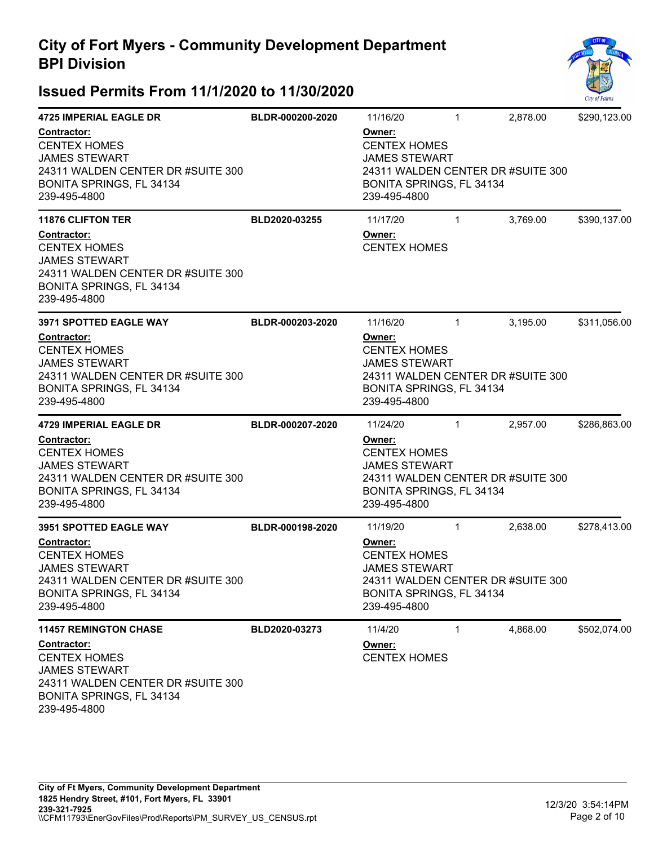

| <b>4725 IMPERIAL EAGLE DR</b>                                                                                                                      | BLDR-000200-2020 | 11/16/20                                                                                                                               | $\mathbf{1}$ | 2,878.00 | \$290,123.00 |
|----------------------------------------------------------------------------------------------------------------------------------------------------|------------------|----------------------------------------------------------------------------------------------------------------------------------------|--------------|----------|--------------|
| Contractor:<br><b>CENTEX HOMES</b><br><b>JAMES STEWART</b><br>24311 WALDEN CENTER DR #SUITE 300<br>BONITA SPRINGS, FL 34134<br>239-495-4800        |                  | Owner:<br><b>CENTEX HOMES</b><br><b>JAMES STEWART</b><br>24311 WALDEN CENTER DR #SUITE 300<br>BONITA SPRINGS, FL 34134<br>239-495-4800 |              |          |              |
| <b>11876 CLIFTON TER</b>                                                                                                                           | BLD2020-03255    | 11/17/20                                                                                                                               | $\mathbf{1}$ | 3,769.00 | \$390,137.00 |
| Contractor:<br><b>CENTEX HOMES</b><br><b>JAMES STEWART</b><br>24311 WALDEN CENTER DR #SUITE 300<br>BONITA SPRINGS, FL 34134<br>239-495-4800        |                  | Owner:<br><b>CENTEX HOMES</b>                                                                                                          |              |          |              |
| 3971 SPOTTED EAGLE WAY                                                                                                                             | BLDR-000203-2020 | 11/16/20                                                                                                                               | $\mathbf{1}$ | 3,195.00 | \$311,056.00 |
| Contractor:<br><b>CENTEX HOMES</b><br><b>JAMES STEWART</b><br>24311 WALDEN CENTER DR #SUITE 300<br>BONITA SPRINGS, FL 34134<br>239-495-4800        |                  | Owner:<br><b>CENTEX HOMES</b><br><b>JAMES STEWART</b><br>24311 WALDEN CENTER DR #SUITE 300<br>BONITA SPRINGS, FL 34134<br>239-495-4800 |              |          |              |
| <b>4729 IMPERIAL EAGLE DR</b>                                                                                                                      | BLDR-000207-2020 | 11/24/20                                                                                                                               | $\mathbf{1}$ | 2,957.00 | \$286,863.00 |
| <b>Contractor:</b><br><b>CENTEX HOMES</b><br><b>JAMES STEWART</b><br>24311 WALDEN CENTER DR #SUITE 300<br>BONITA SPRINGS, FL 34134<br>239-495-4800 |                  | Owner:<br><b>CENTEX HOMES</b><br><b>JAMES STEWART</b><br>24311 WALDEN CENTER DR #SUITE 300<br>BONITA SPRINGS, FL 34134<br>239-495-4800 |              |          |              |
| 3951 SPOTTED EAGLE WAY                                                                                                                             | BLDR-000198-2020 | 11/19/20                                                                                                                               | $\mathbf{1}$ | 2,638.00 | \$278,413.00 |
| Contractor:<br><b>CENTEX HOMES</b><br><b>JAMES STEWART</b><br>24311 WALDEN CENTER DR #SUITE 300<br>BONITA SPRINGS, FL 34134<br>239-495-4800        |                  | Owner:<br><b>CENTEX HOMES</b><br><b>JAMES STEWART</b><br>24311 WALDEN CENTER DR #SUITE 300<br>BONITA SPRINGS, FL 34134<br>239-495-4800 |              |          |              |
| <b>11457 REMINGTON CHASE</b>                                                                                                                       | BLD2020-03273    | 11/4/20                                                                                                                                | $\mathbf{1}$ | 4,868.00 | \$502,074.00 |
| Contractor:<br><b>CENTEX HOMES</b><br><b>JAMES STEWART</b><br>24311 WALDEN CENTER DR #SUITE 300<br>BONITA SPRINGS, FL 34134<br>239-495-4800        |                  | Owner:<br><b>CENTEX HOMES</b>                                                                                                          |              |          |              |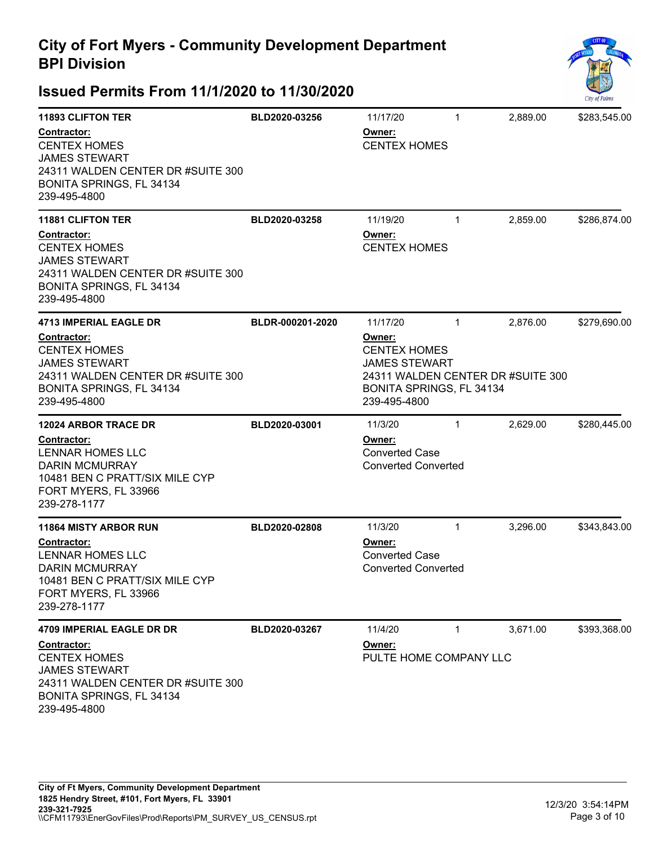

| <b>11893 CLIFTON TER</b>                                                                                                                           | BLD2020-03256    | 11/17/20                                                                                                                               | $\mathbf{1}$ | 2,889.00 | \$283,545.00 |
|----------------------------------------------------------------------------------------------------------------------------------------------------|------------------|----------------------------------------------------------------------------------------------------------------------------------------|--------------|----------|--------------|
| <b>Contractor:</b><br><b>CENTEX HOMES</b><br><b>JAMES STEWART</b><br>24311 WALDEN CENTER DR #SUITE 300<br>BONITA SPRINGS, FL 34134<br>239-495-4800 |                  | Owner:<br><b>CENTEX HOMES</b>                                                                                                          |              |          |              |
| <b>11881 CLIFTON TER</b>                                                                                                                           | BLD2020-03258    | 11/19/20                                                                                                                               | $\mathbf{1}$ | 2,859.00 | \$286,874.00 |
| Contractor:<br><b>CENTEX HOMES</b><br><b>JAMES STEWART</b><br>24311 WALDEN CENTER DR #SUITE 300<br>BONITA SPRINGS, FL 34134<br>239-495-4800        |                  | Owner:<br><b>CENTEX HOMES</b>                                                                                                          |              |          |              |
| <b>4713 IMPERIAL EAGLE DR</b>                                                                                                                      | BLDR-000201-2020 | 11/17/20                                                                                                                               | $\mathbf{1}$ | 2,876.00 | \$279,690.00 |
| <b>Contractor:</b><br><b>CENTEX HOMES</b><br><b>JAMES STEWART</b><br>24311 WALDEN CENTER DR #SUITE 300<br>BONITA SPRINGS, FL 34134<br>239-495-4800 |                  | Owner:<br><b>CENTEX HOMES</b><br><b>JAMES STEWART</b><br>24311 WALDEN CENTER DR #SUITE 300<br>BONITA SPRINGS, FL 34134<br>239-495-4800 |              |          |              |
| <b>12024 ARBOR TRACE DR</b>                                                                                                                        | BLD2020-03001    | 11/3/20                                                                                                                                | $\mathbf{1}$ | 2,629.00 | \$280,445.00 |
| <b>Contractor:</b><br><b>LENNAR HOMES LLC</b><br><b>DARIN MCMURRAY</b><br>10481 BEN C PRATT/SIX MILE CYP<br>FORT MYERS, FL 33966<br>239-278-1177   |                  | Owner:<br><b>Converted Case</b><br><b>Converted Converted</b>                                                                          |              |          |              |
| <b>11864 MISTY ARBOR RUN</b>                                                                                                                       | BLD2020-02808    | 11/3/20                                                                                                                                | $\mathbf{1}$ | 3,296.00 | \$343,843.00 |
| <b>Contractor:</b><br><b>LENNAR HOMES LLC</b><br><b>DARIN MCMURRAY</b><br>10481 BEN C PRATT/SIX MILE CYP<br>FORT MYERS, FL 33966<br>239-278-1177   |                  | Owner:<br><b>Converted Case</b><br><b>Converted Converted</b>                                                                          |              |          |              |
| <b>4709 IMPERIAL EAGLE DR DR</b>                                                                                                                   | BLD2020-03267    | 11/4/20                                                                                                                                | $\mathbf{1}$ | 3,671.00 | \$393,368.00 |
| Contractor:<br><b>CENTEX HOMES</b><br><b>JAMES STEWART</b><br>24311 WALDEN CENTER DR #SUITE 300<br>BONITA SPRINGS, FL 34134<br>239-495-4800        |                  | Owner:<br>PULTE HOME COMPANY LLC                                                                                                       |              |          |              |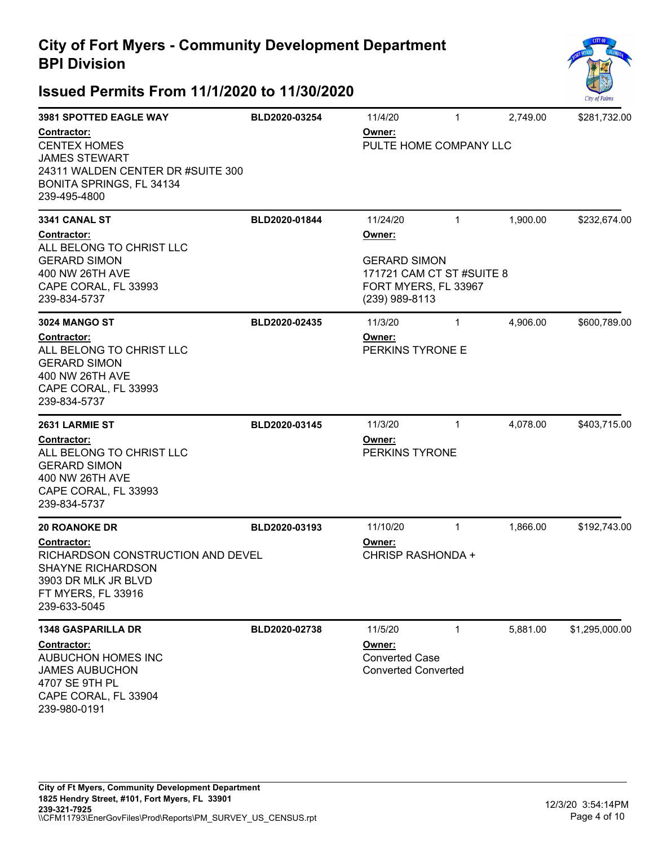

| <b>3981 SPOTTED EAGLE WAY</b>                                                                                                               | BLD2020-03254 | 11/4/20                                                                                              | $\mathbf{1}$ | 2,749.00 | \$281,732.00   |  |
|---------------------------------------------------------------------------------------------------------------------------------------------|---------------|------------------------------------------------------------------------------------------------------|--------------|----------|----------------|--|
| Contractor:<br><b>CENTEX HOMES</b><br><b>JAMES STEWART</b><br>24311 WALDEN CENTER DR #SUITE 300<br>BONITA SPRINGS, FL 34134<br>239-495-4800 |               | Owner:<br>PULTE HOME COMPANY LLC                                                                     |              |          |                |  |
| 3341 CANAL ST                                                                                                                               | BLD2020-01844 | 11/24/20                                                                                             | $\mathbf{1}$ | 1,900.00 | \$232,674.00   |  |
| Contractor:<br>ALL BELONG TO CHRIST LLC<br><b>GERARD SIMON</b><br>400 NW 26TH AVE<br>CAPE CORAL, FL 33993<br>239-834-5737                   |               | Owner:<br><b>GERARD SIMON</b><br>171721 CAM CT ST #SUITE 8<br>FORT MYERS, FL 33967<br>(239) 989-8113 |              |          |                |  |
| <b>3024 MANGO ST</b>                                                                                                                        | BLD2020-02435 | 11/3/20                                                                                              | $\mathbf{1}$ | 4,906.00 | \$600,789.00   |  |
| Contractor:<br>ALL BELONG TO CHRIST LLC<br><b>GERARD SIMON</b><br>400 NW 26TH AVE<br>CAPE CORAL, FL 33993<br>239-834-5737                   |               | Owner:<br>PERKINS TYRONE E                                                                           |              |          |                |  |
| 2631 LARMIE ST                                                                                                                              | BLD2020-03145 | 11/3/20                                                                                              | $\mathbf{1}$ | 4,078.00 | \$403,715.00   |  |
| Contractor:<br>ALL BELONG TO CHRIST LLC<br><b>GERARD SIMON</b><br>400 NW 26TH AVE<br>CAPE CORAL, FL 33993<br>239-834-5737                   |               | Owner:<br>PERKINS TYRONE                                                                             |              |          |                |  |
| <b>20 ROANOKE DR</b>                                                                                                                        | BLD2020-03193 | 11/10/20                                                                                             | $\mathbf{1}$ | 1,866.00 | \$192,743.00   |  |
| Contractor:<br>RICHARDSON CONSTRUCTION AND DEVEL<br>SHAYNE RICHARDSON<br>3903 DR MLK JR BLVD<br>FT MYERS, FL 33916<br>239-633-5045          |               | Owner:<br><b>CHRISP RASHONDA +</b>                                                                   |              |          |                |  |
| <b>1348 GASPARILLA DR</b>                                                                                                                   | BLD2020-02738 | 11/5/20                                                                                              | $\mathbf{1}$ | 5,881.00 | \$1,295,000.00 |  |
| Contractor:<br>AUBUCHON HOMES INC<br><b>JAMES AUBUCHON</b><br>4707 SE 9TH PL<br>CAPE CORAL, FL 33904<br>239-980-0191                        |               | Owner:<br><b>Converted Case</b><br><b>Converted Converted</b>                                        |              |          |                |  |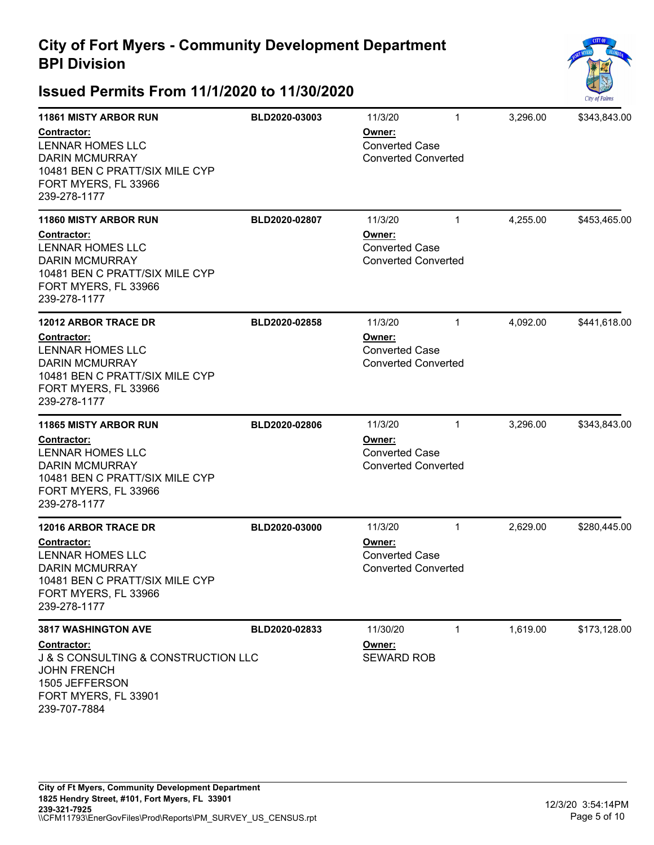

| <b>11861 MISTY ARBOR RUN</b><br>Contractor:<br><b>LENNAR HOMES LLC</b><br><b>DARIN MCMURRAY</b><br>10481 BEN C PRATT/SIX MILE CYP<br>FORT MYERS, FL 33966<br>239-278-1177        | BLD2020-03003 | 11/3/20<br>Owner:<br><b>Converted Case</b><br><b>Converted Converted</b> | $\mathbf{1}$ | 3,296.00 | \$343,843.00 |
|----------------------------------------------------------------------------------------------------------------------------------------------------------------------------------|---------------|--------------------------------------------------------------------------|--------------|----------|--------------|
| <b>11860 MISTY ARBOR RUN</b><br>Contractor:<br><b>LENNAR HOMES LLC</b><br><b>DARIN MCMURRAY</b><br>10481 BEN C PRATT/SIX MILE CYP<br>FORT MYERS, FL 33966<br>239-278-1177        | BLD2020-02807 | 11/3/20<br>Owner:<br><b>Converted Case</b><br><b>Converted Converted</b> | $\mathbf{1}$ | 4,255.00 | \$453,465.00 |
| <b>12012 ARBOR TRACE DR</b><br><b>Contractor:</b><br><b>LENNAR HOMES LLC</b><br><b>DARIN MCMURRAY</b><br>10481 BEN C PRATT/SIX MILE CYP<br>FORT MYERS, FL 33966<br>239-278-1177  | BLD2020-02858 | 11/3/20<br>Owner:<br><b>Converted Case</b><br><b>Converted Converted</b> | $\mathbf{1}$ | 4,092.00 | \$441,618.00 |
| <b>11865 MISTY ARBOR RUN</b><br><b>Contractor:</b><br><b>LENNAR HOMES LLC</b><br><b>DARIN MCMURRAY</b><br>10481 BEN C PRATT/SIX MILE CYP<br>FORT MYERS, FL 33966<br>239-278-1177 | BLD2020-02806 | 11/3/20<br>Owner:<br><b>Converted Case</b><br><b>Converted Converted</b> | $\mathbf{1}$ | 3,296.00 | \$343,843.00 |
| <b>12016 ARBOR TRACE DR</b><br><b>Contractor:</b><br><b>LENNAR HOMES LLC</b><br><b>DARIN MCMURRAY</b><br>10481 BEN C PRATT/SIX MILE CYP<br>FORT MYERS, FL 33966<br>239-278-1177  | BLD2020-03000 | 11/3/20<br>Owner:<br><b>Converted Case</b><br><b>Converted Converted</b> | $\mathbf{1}$ | 2,629.00 | \$280,445.00 |
| <b>3817 WASHINGTON AVE</b><br><b>Contractor:</b><br>J & S CONSULTING & CONSTRUCTION LLC<br><b>JOHN FRENCH</b><br>1505 JEFFERSON<br>FORT MYERS, FL 33901<br>239-707-7884          | BLD2020-02833 | 11/30/20<br>Owner:<br><b>SEWARD ROB</b>                                  | $\mathbf{1}$ | 1,619.00 | \$173,128.00 |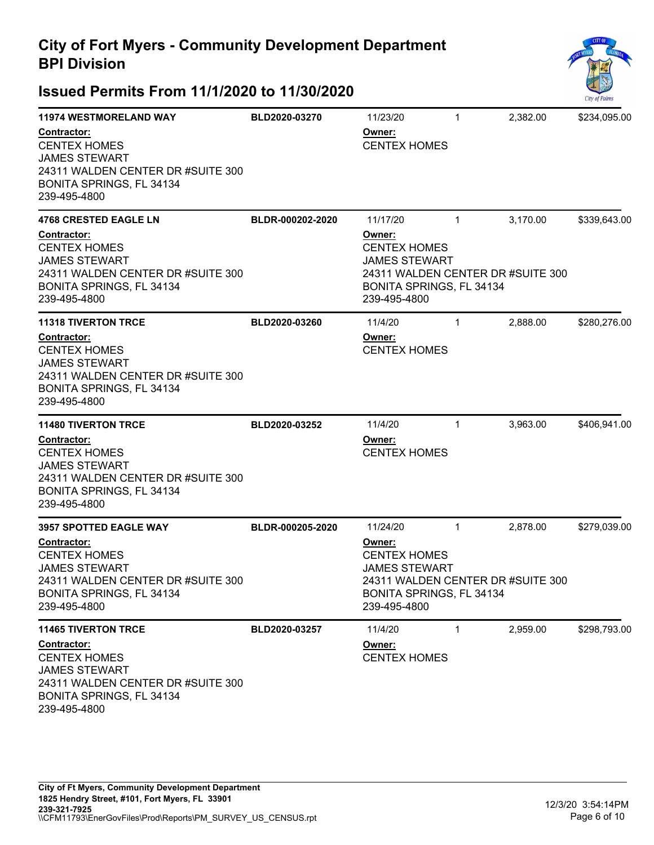

| <b>11974 WESTMORELAND WAY</b>                                                                                                                      | BLD2020-03270    | 11/23/20                                                                                                                               | $\mathbf{1}$ | 2,382.00 | \$234,095.00 |  |
|----------------------------------------------------------------------------------------------------------------------------------------------------|------------------|----------------------------------------------------------------------------------------------------------------------------------------|--------------|----------|--------------|--|
| <b>Contractor:</b><br><b>CENTEX HOMES</b><br><b>JAMES STEWART</b><br>24311 WALDEN CENTER DR #SUITE 300<br>BONITA SPRINGS, FL 34134<br>239-495-4800 |                  | Owner:<br><b>CENTEX HOMES</b>                                                                                                          |              |          |              |  |
| 4768 CRESTED EAGLE LN                                                                                                                              | BLDR-000202-2020 | 11/17/20                                                                                                                               | $\mathbf{1}$ | 3,170.00 | \$339,643.00 |  |
| Contractor:<br><b>CENTEX HOMES</b><br><b>JAMES STEWART</b><br>24311 WALDEN CENTER DR #SUITE 300<br>BONITA SPRINGS, FL 34134<br>239-495-4800        |                  | Owner:<br><b>CENTEX HOMES</b><br><b>JAMES STEWART</b><br>24311 WALDEN CENTER DR #SUITE 300<br>BONITA SPRINGS, FL 34134<br>239-495-4800 |              |          |              |  |
| <b>11318 TIVERTON TRCE</b>                                                                                                                         | BLD2020-03260    | 11/4/20                                                                                                                                | $\mathbf{1}$ | 2,888.00 | \$280,276.00 |  |
| <b>Contractor:</b><br><b>CENTEX HOMES</b><br><b>JAMES STEWART</b><br>24311 WALDEN CENTER DR #SUITE 300<br>BONITA SPRINGS, FL 34134<br>239-495-4800 |                  | Owner:<br><b>CENTEX HOMES</b>                                                                                                          |              |          |              |  |
| <b>11480 TIVERTON TRCE</b>                                                                                                                         | BLD2020-03252    | 11/4/20                                                                                                                                | 1            | 3,963.00 | \$406,941.00 |  |
| <b>Contractor:</b><br><b>CENTEX HOMES</b><br><b>JAMES STEWART</b><br>24311 WALDEN CENTER DR #SUITE 300<br>BONITA SPRINGS, FL 34134<br>239-495-4800 |                  | Owner:<br><b>CENTEX HOMES</b>                                                                                                          |              |          |              |  |
| <b>3957 SPOTTED EAGLE WAY</b>                                                                                                                      | BLDR-000205-2020 | 11/24/20                                                                                                                               | $\mathbf{1}$ | 2,878.00 | \$279,039.00 |  |
| <b>Contractor:</b><br><b>CENTEX HOMES</b><br><b>JAMES STEWART</b><br>24311 WALDEN CENTER DR #SUITE 300<br>BONITA SPRINGS, FL 34134<br>239-495-4800 |                  | Owner:<br><b>CENTEX HOMES</b><br><b>JAMES STEWART</b><br>24311 WALDEN CENTER DR #SUITE 300<br>BONITA SPRINGS, FL 34134<br>239-495-4800 |              |          |              |  |
| <b>11465 TIVERTON TRCE</b>                                                                                                                         | BLD2020-03257    | 11/4/20                                                                                                                                | 1            | 2,959.00 | \$298,793.00 |  |
| <b>Contractor:</b><br><b>CENTEX HOMES</b><br><b>JAMES STEWART</b><br>24311 WALDEN CENTER DR #SUITE 300<br>BONITA SPRINGS, FL 34134<br>239-495-4800 |                  | Owner:<br><b>CENTEX HOMES</b>                                                                                                          |              |          |              |  |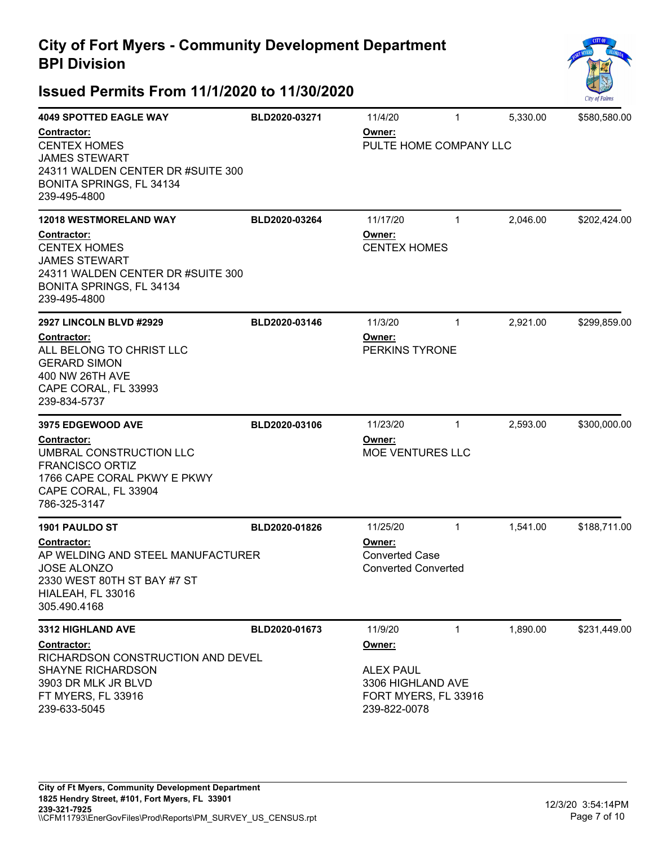

| <b>4049 SPOTTED EAGLE WAY</b><br><b>Contractor:</b><br><b>CENTEX HOMES</b><br><b>JAMES STEWART</b><br>24311 WALDEN CENTER DR #SUITE 300<br>BONITA SPRINGS, FL 34134<br>239-495-4800<br><b>12018 WESTMORELAND WAY</b><br>Contractor:<br><b>CENTEX HOMES</b><br><b>JAMES STEWART</b><br>24311 WALDEN CENTER DR #SUITE 300 | BLD2020-03271<br>BLD2020-03264 | 11/4/20<br>Owner:<br>PULTE HOME COMPANY LLC<br>11/17/20<br>Owner:<br><b>CENTEX HOMES</b>           | 1<br>$\mathbf{1}$ | 5,330.00<br>2,046.00 | \$580,580.00<br>\$202,424.00 |
|-------------------------------------------------------------------------------------------------------------------------------------------------------------------------------------------------------------------------------------------------------------------------------------------------------------------------|--------------------------------|----------------------------------------------------------------------------------------------------|-------------------|----------------------|------------------------------|
| BONITA SPRINGS, FL 34134<br>239-495-4800<br><b>2927 LINCOLN BLVD #2929</b><br>Contractor:<br>ALL BELONG TO CHRIST LLC<br><b>GERARD SIMON</b><br>400 NW 26TH AVE<br>CAPE CORAL, FL 33993<br>239-834-5737                                                                                                                 | BLD2020-03146                  | 11/3/20<br>Owner:<br>PERKINS TYRONE                                                                | 1                 | 2,921.00             | \$299,859.00                 |
| 3975 EDGEWOOD AVE<br>Contractor:<br>UMBRAL CONSTRUCTION LLC<br><b>FRANCISCO ORTIZ</b><br>1766 CAPE CORAL PKWY E PKWY<br>CAPE CORAL, FL 33904<br>786-325-3147                                                                                                                                                            | BLD2020-03106                  | 11/23/20<br>Owner:<br><b>MOE VENTURES LLC</b>                                                      | $\mathbf{1}$      | 2,593.00             | \$300,000.00                 |
| <b>1901 PAULDO ST</b><br>Contractor:<br>AP WELDING AND STEEL MANUFACTURER<br><b>JOSE ALONZO</b><br>2330 WEST 80TH ST BAY #7 ST<br>HIALEAH, FL 33016<br>305.490.4168                                                                                                                                                     | BLD2020-01826                  | 11/25/20<br>Owner:<br><b>Converted Case</b><br><b>Converted Converted</b>                          | $\mathbf{1}$      | 1,541.00             | \$188,711.00                 |
| <b>3312 HIGHLAND AVE</b><br><b>Contractor:</b><br>RICHARDSON CONSTRUCTION AND DEVEL<br>SHAYNE RICHARDSON<br>3903 DR MLK JR BLVD<br>FT MYERS, FL 33916<br>239-633-5045                                                                                                                                                   | BLD2020-01673                  | 11/9/20<br>Owner:<br><b>ALEX PAUL</b><br>3306 HIGHLAND AVE<br>FORT MYERS, FL 33916<br>239-822-0078 | $\mathbf{1}$      | 1,890.00             | \$231,449.00                 |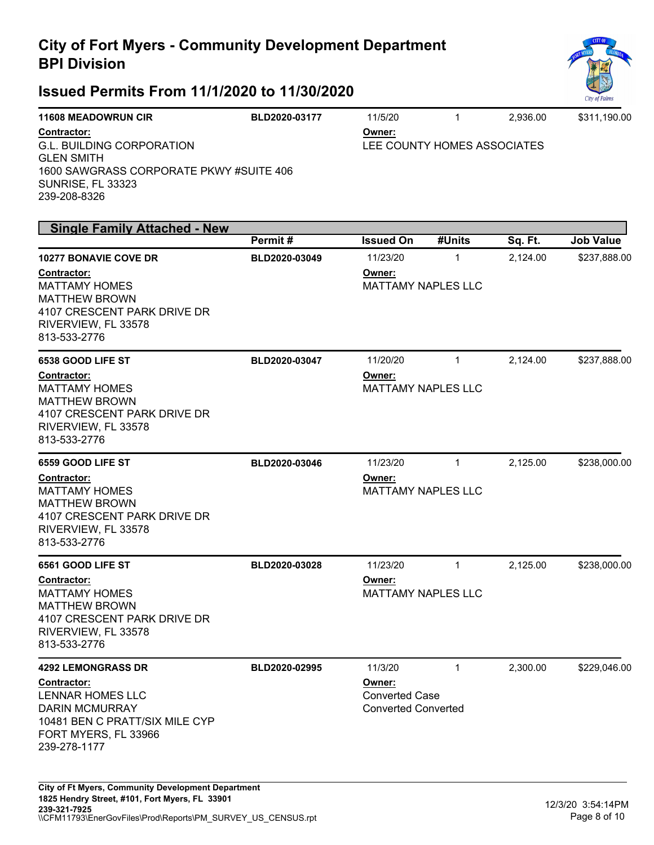

| <b>11608 MEADOWRUN CIR</b>              | BLD2020-03177 | 11/5/20                     |  | 2.936.00 | \$311.190.00 |
|-----------------------------------------|---------------|-----------------------------|--|----------|--------------|
| Contractor:                             |               | Owner:                      |  |          |              |
| G.L. BUILDING CORPORATION               |               | LEE COUNTY HOMES ASSOCIATES |  |          |              |
| <b>GLEN SMITH</b>                       |               |                             |  |          |              |
| 1600 SAWGRASS CORPORATE PKWY #SUITE 406 |               |                             |  |          |              |
| SUNRISE, FL 33323                       |               |                             |  |          |              |
| 239-208-8326                            |               |                             |  |          |              |

| <b>Single Family Attached - New</b>                                                                                                                                      |               |                                                               |              |          |                  |
|--------------------------------------------------------------------------------------------------------------------------------------------------------------------------|---------------|---------------------------------------------------------------|--------------|----------|------------------|
|                                                                                                                                                                          | Permit#       | <b>Issued On</b>                                              | #Units       | Sq. Ft.  | <b>Job Value</b> |
| <b>10277 BONAVIE COVE DR</b><br><b>Contractor:</b><br><b>MATTAMY HOMES</b><br><b>MATTHEW BROWN</b><br>4107 CRESCENT PARK DRIVE DR<br>RIVERVIEW, FL 33578<br>813-533-2776 | BLD2020-03049 | 11/23/20<br>Owner:<br><b>MATTAMY NAPLES LLC</b>               | $\mathbf{1}$ | 2,124.00 | \$237,888.00     |
| 6538 GOOD LIFE ST                                                                                                                                                        | BLD2020-03047 | 11/20/20                                                      | $\mathbf{1}$ | 2,124.00 | \$237,888.00     |
| Contractor:<br><b>MATTAMY HOMES</b><br><b>MATTHEW BROWN</b><br>4107 CRESCENT PARK DRIVE DR<br>RIVERVIEW, FL 33578<br>813-533-2776                                        |               | Owner:<br><b>MATTAMY NAPLES LLC</b>                           |              |          |                  |
| 6559 GOOD LIFE ST<br>Contractor:<br><b>MATTAMY HOMES</b><br><b>MATTHEW BROWN</b><br>4107 CRESCENT PARK DRIVE DR<br>RIVERVIEW, FL 33578<br>813-533-2776                   | BLD2020-03046 | 11/23/20<br>Owner:<br><b>MATTAMY NAPLES LLC</b>               | $\mathbf{1}$ | 2,125.00 | \$238,000.00     |
| 6561 GOOD LIFE ST<br>Contractor:<br><b>MATTAMY HOMES</b><br><b>MATTHEW BROWN</b><br>4107 CRESCENT PARK DRIVE DR<br>RIVERVIEW, FL 33578<br>813-533-2776                   | BLD2020-03028 | 11/23/20<br>Owner:<br><b>MATTAMY NAPLES LLC</b>               | $\mathbf{1}$ | 2,125.00 | \$238,000.00     |
| <b>4292 LEMONGRASS DR</b>                                                                                                                                                | BLD2020-02995 | 11/3/20                                                       | $\mathbf{1}$ | 2,300.00 | \$229,046.00     |
| Contractor:<br><b>LENNAR HOMES LLC</b><br><b>DARIN MCMURRAY</b><br>10481 BEN C PRATT/SIX MILE CYP<br>FORT MYERS, FL 33966<br>239-278-1177                                |               | Owner:<br><b>Converted Case</b><br><b>Converted Converted</b> |              |          |                  |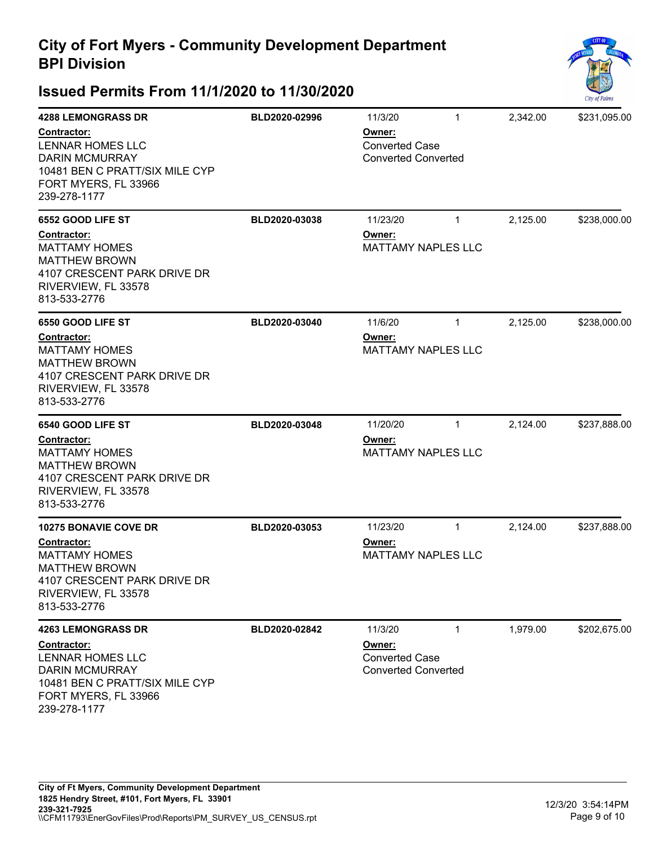

| <b>4288 LEMONGRASS DR</b>                                                                                                                        | BLD2020-02996 | 11/3/20                                                       | $\mathbf{1}$ | 2,342.00 | \$231,095.00 |
|--------------------------------------------------------------------------------------------------------------------------------------------------|---------------|---------------------------------------------------------------|--------------|----------|--------------|
| <b>Contractor:</b><br><b>LENNAR HOMES LLC</b><br><b>DARIN MCMURRAY</b><br>10481 BEN C PRATT/SIX MILE CYP<br>FORT MYERS, FL 33966<br>239-278-1177 |               | Owner:<br><b>Converted Case</b><br><b>Converted Converted</b> |              |          |              |
| 6552 GOOD LIFE ST                                                                                                                                | BLD2020-03038 | 11/23/20                                                      | $\mathbf{1}$ | 2,125.00 | \$238,000.00 |
| Contractor:<br><b>MATTAMY HOMES</b><br><b>MATTHEW BROWN</b><br>4107 CRESCENT PARK DRIVE DR<br>RIVERVIEW, FL 33578<br>813-533-2776                |               | Owner:<br><b>MATTAMY NAPLES LLC</b>                           |              |          |              |
| 6550 GOOD LIFE ST                                                                                                                                | BLD2020-03040 | 11/6/20                                                       | $\mathbf{1}$ | 2,125.00 | \$238,000.00 |
| Contractor:<br><b>MATTAMY HOMES</b><br><b>MATTHEW BROWN</b><br>4107 CRESCENT PARK DRIVE DR<br>RIVERVIEW, FL 33578<br>813-533-2776                |               | Owner:<br><b>MATTAMY NAPLES LLC</b>                           |              |          |              |
| 6540 GOOD LIFE ST                                                                                                                                | BLD2020-03048 | 11/20/20                                                      | $\mathbf{1}$ | 2,124.00 | \$237,888.00 |
| Contractor:<br><b>MATTAMY HOMES</b><br><b>MATTHEW BROWN</b><br>4107 CRESCENT PARK DRIVE DR<br>RIVERVIEW, FL 33578<br>813-533-2776                |               | Owner:<br><b>MATTAMY NAPLES LLC</b>                           |              |          |              |
| <b>10275 BONAVIE COVE DR</b>                                                                                                                     | BLD2020-03053 | 11/23/20                                                      | $\mathbf{1}$ | 2,124.00 | \$237,888.00 |
| Contractor:<br><b>MATTAMY HOMES</b><br><b>MATTHEW BROWN</b><br>4107 CRESCENT PARK DRIVE DR<br>RIVERVIEW, FL 33578<br>813-533-2776                |               | Owner:<br><b>MATTAMY NAPLES LLC</b>                           |              |          |              |
| <b>4263 LEMONGRASS DR</b>                                                                                                                        | BLD2020-02842 | 11/3/20                                                       | $\mathbf{1}$ | 1,979.00 | \$202,675.00 |
| Contractor:<br><b>LENNAR HOMES LLC</b><br><b>DARIN MCMURRAY</b><br>10481 BEN C PRATT/SIX MILE CYP<br>FORT MYERS, FL 33966<br>239-278-1177        |               | Owner:<br><b>Converted Case</b><br><b>Converted Converted</b> |              |          |              |